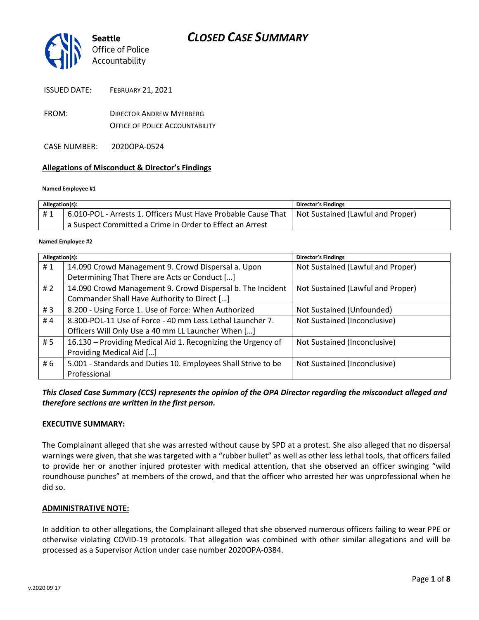

ISSUED DATE: FEBRUARY 21, 2021

- FROM: DIRECTOR ANDREW MYERBERG OFFICE OF POLICE ACCOUNTABILITY
- CASE NUMBER: 2020OPA-0524

#### **Allegations of Misconduct & Director's Findings**

#### **Named Employee #1**

| Allegation(s): |                                                                                                   | Director's Findings |
|----------------|---------------------------------------------------------------------------------------------------|---------------------|
| #1             | 6.010-POL - Arrests 1. Officers Must Have Probable Cause That   Not Sustained (Lawful and Proper) |                     |
|                | a Suspect Committed a Crime in Order to Effect an Arrest                                          |                     |

#### Ι **Named Employee #2**

| Allegation(s): |                                                               | <b>Director's Findings</b>        |
|----------------|---------------------------------------------------------------|-----------------------------------|
| #1             | 14.090 Crowd Management 9. Crowd Dispersal a. Upon            | Not Sustained (Lawful and Proper) |
|                | Determining That There are Acts or Conduct []                 |                                   |
| #2             | 14.090 Crowd Management 9. Crowd Dispersal b. The Incident    | Not Sustained (Lawful and Proper) |
|                | Commander Shall Have Authority to Direct []                   |                                   |
| #3             | 8.200 - Using Force 1. Use of Force: When Authorized          | Not Sustained (Unfounded)         |
| #4             | 8.300-POL-11 Use of Force - 40 mm Less Lethal Launcher 7.     | Not Sustained (Inconclusive)      |
|                | Officers Will Only Use a 40 mm LL Launcher When []            |                                   |
| #5             | 16.130 - Providing Medical Aid 1. Recognizing the Urgency of  | Not Sustained (Inconclusive)      |
|                | Providing Medical Aid []                                      |                                   |
| # 6            | 5.001 - Standards and Duties 10. Employees Shall Strive to be | Not Sustained (Inconclusive)      |
|                | Professional                                                  |                                   |

*This Closed Case Summary (CCS) represents the opinion of the OPA Director regarding the misconduct alleged and therefore sections are written in the first person.* 

#### **EXECUTIVE SUMMARY:**

The Complainant alleged that she was arrested without cause by SPD at a protest. She also alleged that no dispersal warnings were given, that she was targeted with a "rubber bullet" as well as other less lethal tools, that officers failed to provide her or another injured protester with medical attention, that she observed an officer swinging "wild roundhouse punches" at members of the crowd, and that the officer who arrested her was unprofessional when he did so.

#### **ADMINISTRATIVE NOTE:**

In addition to other allegations, the Complainant alleged that she observed numerous officers failing to wear PPE or otherwise violating COVID-19 protocols. That allegation was combined with other similar allegations and will be processed as a Supervisor Action under case number 2020OPA-0384.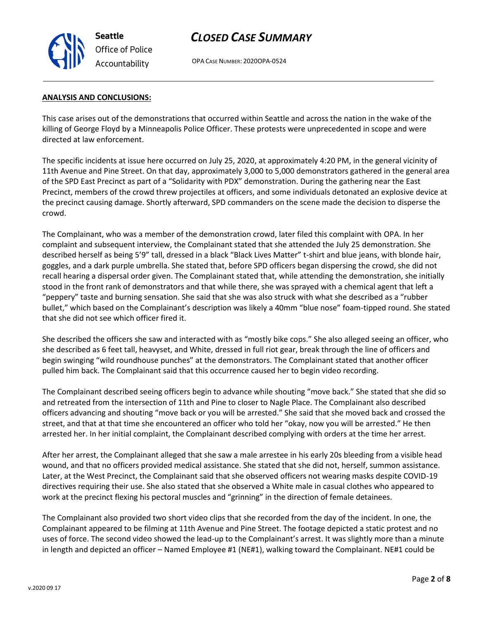

OPA CASE NUMBER: 2020OPA-0524

#### **ANALYSIS AND CONCLUSIONS:**

This case arises out of the demonstrations that occurred within Seattle and across the nation in the wake of the killing of George Floyd by a Minneapolis Police Officer. These protests were unprecedented in scope and were directed at law enforcement.

The specific incidents at issue here occurred on July 25, 2020, at approximately 4:20 PM, in the general vicinity of 11th Avenue and Pine Street. On that day, approximately 3,000 to 5,000 demonstrators gathered in the general area of the SPD East Precinct as part of a "Solidarity with PDX" demonstration. During the gathering near the East Precinct, members of the crowd threw projectiles at officers, and some individuals detonated an explosive device at the precinct causing damage. Shortly afterward, SPD commanders on the scene made the decision to disperse the crowd.

The Complainant, who was a member of the demonstration crowd, later filed this complaint with OPA. In her complaint and subsequent interview, the Complainant stated that she attended the July 25 demonstration. She described herself as being 5'9" tall, dressed in a black "Black Lives Matter" t-shirt and blue jeans, with blonde hair, goggles, and a dark purple umbrella. She stated that, before SPD officers began dispersing the crowd, she did not recall hearing a dispersal order given. The Complainant stated that, while attending the demonstration, she initially stood in the front rank of demonstrators and that while there, she was sprayed with a chemical agent that left a "peppery" taste and burning sensation. She said that she was also struck with what she described as a "rubber bullet," which based on the Complainant's description was likely a 40mm "blue nose" foam-tipped round. She stated that she did not see which officer fired it.

She described the officers she saw and interacted with as "mostly bike cops." She also alleged seeing an officer, who she described as 6 feet tall, heavyset, and White, dressed in full riot gear, break through the line of officers and begin swinging "wild roundhouse punches" at the demonstrators. The Complainant stated that another officer pulled him back. The Complainant said that this occurrence caused her to begin video recording.

The Complainant described seeing officers begin to advance while shouting "move back." She stated that she did so and retreated from the intersection of 11th and Pine to closer to Nagle Place. The Complainant also described officers advancing and shouting "move back or you will be arrested." She said that she moved back and crossed the street, and that at that time she encountered an officer who told her "okay, now you will be arrested." He then arrested her. In her initial complaint, the Complainant described complying with orders at the time her arrest.

After her arrest, the Complainant alleged that she saw a male arrestee in his early 20s bleeding from a visible head wound, and that no officers provided medical assistance. She stated that she did not, herself, summon assistance. Later, at the West Precinct, the Complainant said that she observed officers not wearing masks despite COVID-19 directives requiring their use. She also stated that she observed a White male in casual clothes who appeared to work at the precinct flexing his pectoral muscles and "grinning" in the direction of female detainees.

The Complainant also provided two short video clips that she recorded from the day of the incident. In one, the Complainant appeared to be filming at 11th Avenue and Pine Street. The footage depicted a static protest and no uses of force. The second video showed the lead-up to the Complainant's arrest. It was slightly more than a minute in length and depicted an officer – Named Employee #1 (NE#1), walking toward the Complainant. NE#1 could be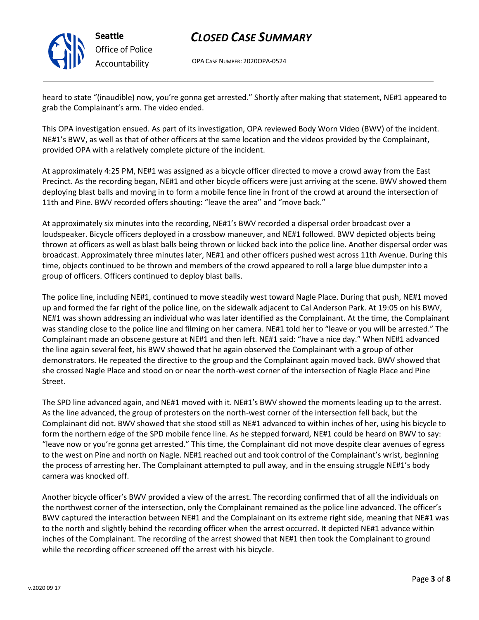

**Seattle** *Office of Police Accountability*

## *CLOSED CASE SUMMARY*

OPA CASE NUMBER: 2020OPA-0524

heard to state "(inaudible) now, you're gonna get arrested." Shortly after making that statement, NE#1 appeared to grab the Complainant's arm. The video ended.

This OPA investigation ensued. As part of its investigation, OPA reviewed Body Worn Video (BWV) of the incident. NE#1's BWV, as well as that of other officers at the same location and the videos provided by the Complainant, provided OPA with a relatively complete picture of the incident.

At approximately 4:25 PM, NE#1 was assigned as a bicycle officer directed to move a crowd away from the East Precinct. As the recording began, NE#1 and other bicycle officers were just arriving at the scene. BWV showed them deploying blast balls and moving in to form a mobile fence line in front of the crowd at around the intersection of 11th and Pine. BWV recorded offers shouting: "leave the area" and "move back."

At approximately six minutes into the recording, NE#1's BWV recorded a dispersal order broadcast over a loudspeaker. Bicycle officers deployed in a crossbow maneuver, and NE#1 followed. BWV depicted objects being thrown at officers as well as blast balls being thrown or kicked back into the police line. Another dispersal order was broadcast. Approximately three minutes later, NE#1 and other officers pushed west across 11th Avenue. During this time, objects continued to be thrown and members of the crowd appeared to roll a large blue dumpster into a group of officers. Officers continued to deploy blast balls.

The police line, including NE#1, continued to move steadily west toward Nagle Place. During that push, NE#1 moved up and formed the far right of the police line, on the sidewalk adjacent to Cal Anderson Park. At 19:05 on his BWV, NE#1 was shown addressing an individual who was later identified as the Complainant. At the time, the Complainant was standing close to the police line and filming on her camera. NE#1 told her to "leave or you will be arrested." The Complainant made an obscene gesture at NE#1 and then left. NE#1 said: "have a nice day." When NE#1 advanced the line again several feet, his BWV showed that he again observed the Complainant with a group of other demonstrators. He repeated the directive to the group and the Complainant again moved back. BWV showed that she crossed Nagle Place and stood on or near the north-west corner of the intersection of Nagle Place and Pine Street.

The SPD line advanced again, and NE#1 moved with it. NE#1's BWV showed the moments leading up to the arrest. As the line advanced, the group of protesters on the north-west corner of the intersection fell back, but the Complainant did not. BWV showed that she stood still as NE#1 advanced to within inches of her, using his bicycle to form the northern edge of the SPD mobile fence line. As he stepped forward, NE#1 could be heard on BWV to say: "leave now or you're gonna get arrested." This time, the Complainant did not move despite clear avenues of egress to the west on Pine and north on Nagle. NE#1 reached out and took control of the Complainant's wrist, beginning the process of arresting her. The Complainant attempted to pull away, and in the ensuing struggle NE#1's body camera was knocked off.

Another bicycle officer's BWV provided a view of the arrest. The recording confirmed that of all the individuals on the northwest corner of the intersection, only the Complainant remained as the police line advanced. The officer's BWV captured the interaction between NE#1 and the Complainant on its extreme right side, meaning that NE#1 was to the north and slightly behind the recording officer when the arrest occurred. It depicted NE#1 advance within inches of the Complainant. The recording of the arrest showed that NE#1 then took the Complainant to ground while the recording officer screened off the arrest with his bicycle.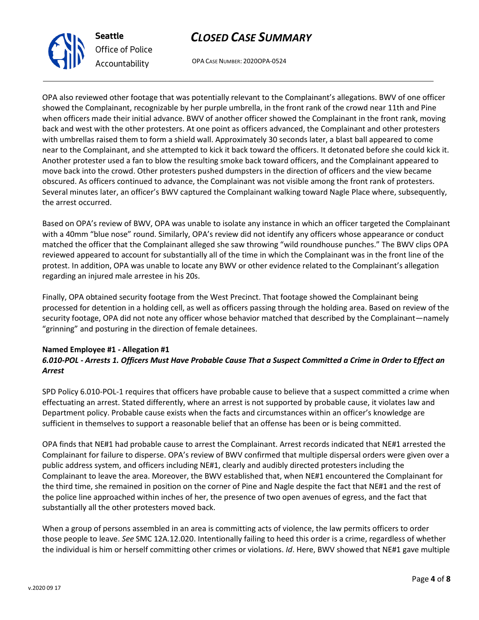OPA CASE NUMBER: 2020OPA-0524

OPA also reviewed other footage that was potentially relevant to the Complainant's allegations. BWV of one officer showed the Complainant, recognizable by her purple umbrella, in the front rank of the crowd near 11th and Pine when officers made their initial advance. BWV of another officer showed the Complainant in the front rank, moving back and west with the other protesters. At one point as officers advanced, the Complainant and other protesters with umbrellas raised them to form a shield wall. Approximately 30 seconds later, a blast ball appeared to come near to the Complainant, and she attempted to kick it back toward the officers. It detonated before she could kick it. Another protester used a fan to blow the resulting smoke back toward officers, and the Complainant appeared to move back into the crowd. Other protesters pushed dumpsters in the direction of officers and the view became obscured. As officers continued to advance, the Complainant was not visible among the front rank of protesters. Several minutes later, an officer's BWV captured the Complainant walking toward Nagle Place where, subsequently, the arrest occurred.

Based on OPA's review of BWV, OPA was unable to isolate any instance in which an officer targeted the Complainant with a 40mm "blue nose" round. Similarly, OPA's review did not identify any officers whose appearance or conduct matched the officer that the Complainant alleged she saw throwing "wild roundhouse punches." The BWV clips OPA reviewed appeared to account for substantially all of the time in which the Complainant was in the front line of the protest. In addition, OPA was unable to locate any BWV or other evidence related to the Complainant's allegation regarding an injured male arrestee in his 20s.

Finally, OPA obtained security footage from the West Precinct. That footage showed the Complainant being processed for detention in a holding cell, as well as officers passing through the holding area. Based on review of the security footage, OPA did not note any officer whose behavior matched that described by the Complainant—namely "grinning" and posturing in the direction of female detainees.

#### **Named Employee #1 - Allegation #1** *6.010-POL - Arrests 1. Officers Must Have Probable Cause That a Suspect Committed a Crime in Order to Effect an Arrest*

SPD Policy 6.010-POL-1 requires that officers have probable cause to believe that a suspect committed a crime when effectuating an arrest. Stated differently, where an arrest is not supported by probable cause, it violates law and Department policy. Probable cause exists when the facts and circumstances within an officer's knowledge are sufficient in themselves to support a reasonable belief that an offense has been or is being committed.

OPA finds that NE#1 had probable cause to arrest the Complainant. Arrest records indicated that NE#1 arrested the Complainant for failure to disperse. OPA's review of BWV confirmed that multiple dispersal orders were given over a public address system, and officers including NE#1, clearly and audibly directed protesters including the Complainant to leave the area. Moreover, the BWV established that, when NE#1 encountered the Complainant for the third time, she remained in position on the corner of Pine and Nagle despite the fact that NE#1 and the rest of the police line approached within inches of her, the presence of two open avenues of egress, and the fact that substantially all the other protesters moved back.

When a group of persons assembled in an area is committing acts of violence, the law permits officers to order those people to leave. *See* SMC 12A.12.020. Intentionally failing to heed this order is a crime, regardless of whether the individual is him or herself committing other crimes or violations. *Id*. Here, BWV showed that NE#1 gave multiple



**Seattle**

*Office of Police Accountability*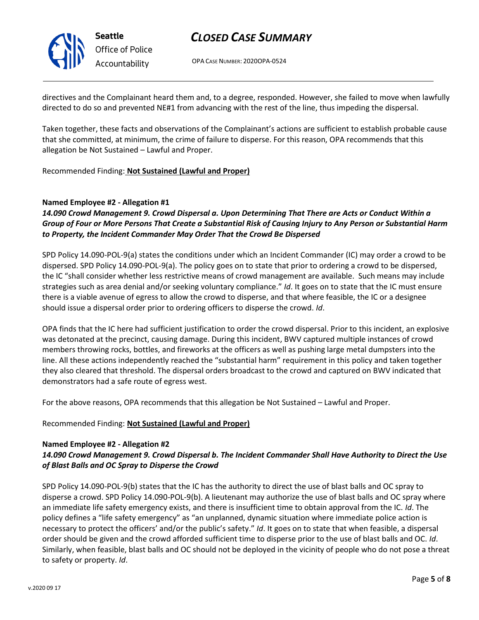

**Seattle** *Office of Police Accountability*

## *CLOSED CASE SUMMARY*

OPA CASE NUMBER: 2020OPA-0524

directives and the Complainant heard them and, to a degree, responded. However, she failed to move when lawfully directed to do so and prevented NE#1 from advancing with the rest of the line, thus impeding the dispersal.

Taken together, these facts and observations of the Complainant's actions are sufficient to establish probable cause that she committed, at minimum, the crime of failure to disperse. For this reason, OPA recommends that this allegation be Not Sustained – Lawful and Proper.

### Recommended Finding: **Not Sustained (Lawful and Proper)**

### **Named Employee #2 - Allegation #1**

## *14.090 Crowd Management 9. Crowd Dispersal a. Upon Determining That There are Acts or Conduct Within a Group of Four or More Persons That Create a Substantial Risk of Causing Injury to Any Person or Substantial Harm to Property, the Incident Commander May Order That the Crowd Be Dispersed*

SPD Policy 14.090-POL-9(a) states the conditions under which an Incident Commander (IC) may order a crowd to be dispersed. SPD Policy 14.090-POL-9(a). The policy goes on to state that prior to ordering a crowd to be dispersed, the IC "shall consider whether less restrictive means of crowd management are available. Such means may include strategies such as area denial and/or seeking voluntary compliance." *Id*. It goes on to state that the IC must ensure there is a viable avenue of egress to allow the crowd to disperse, and that where feasible, the IC or a designee should issue a dispersal order prior to ordering officers to disperse the crowd. *Id*.

OPA finds that the IC here had sufficient justification to order the crowd dispersal. Prior to this incident, an explosive was detonated at the precinct, causing damage. During this incident, BWV captured multiple instances of crowd members throwing rocks, bottles, and fireworks at the officers as well as pushing large metal dumpsters into the line. All these actions independently reached the "substantial harm" requirement in this policy and taken together they also cleared that threshold. The dispersal orders broadcast to the crowd and captured on BWV indicated that demonstrators had a safe route of egress west.

For the above reasons, OPA recommends that this allegation be Not Sustained – Lawful and Proper.

### Recommended Finding: **Not Sustained (Lawful and Proper)**

#### **Named Employee #2 - Allegation #2** *14.090 Crowd Management 9. Crowd Dispersal b. The Incident Commander Shall Have Authority to Direct the Use of Blast Balls and OC Spray to Disperse the Crowd*

SPD Policy 14.090-POL-9(b) states that the IC has the authority to direct the use of blast balls and OC spray to disperse a crowd. SPD Policy 14.090-POL-9(b). A lieutenant may authorize the use of blast balls and OC spray where an immediate life safety emergency exists, and there is insufficient time to obtain approval from the IC. *Id*. The policy defines a "life safety emergency" as "an unplanned, dynamic situation where immediate police action is necessary to protect the officers' and/or the public's safety." *Id*. It goes on to state that when feasible, a dispersal order should be given and the crowd afforded sufficient time to disperse prior to the use of blast balls and OC. *Id*. Similarly, when feasible, blast balls and OC should not be deployed in the vicinity of people who do not pose a threat to safety or property. *Id*.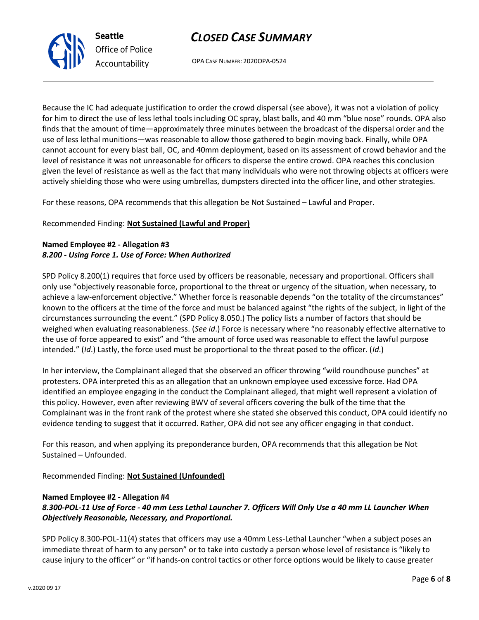

OPA CASE NUMBER: 2020OPA-0524

Because the IC had adequate justification to order the crowd dispersal (see above), it was not a violation of policy for him to direct the use of less lethal tools including OC spray, blast balls, and 40 mm "blue nose" rounds. OPA also finds that the amount of time—approximately three minutes between the broadcast of the dispersal order and the use of less lethal munitions—was reasonable to allow those gathered to begin moving back. Finally, while OPA cannot account for every blast ball, OC, and 40mm deployment, based on its assessment of crowd behavior and the level of resistance it was not unreasonable for officers to disperse the entire crowd. OPA reaches this conclusion given the level of resistance as well as the fact that many individuals who were not throwing objects at officers were actively shielding those who were using umbrellas, dumpsters directed into the officer line, and other strategies.

For these reasons, OPA recommends that this allegation be Not Sustained – Lawful and Proper.

Recommended Finding: **Not Sustained (Lawful and Proper)**

### **Named Employee #2 - Allegation #3** *8.200 - Using Force 1. Use of Force: When Authorized*

SPD Policy 8.200(1) requires that force used by officers be reasonable, necessary and proportional. Officers shall only use "objectively reasonable force, proportional to the threat or urgency of the situation, when necessary, to achieve a law-enforcement objective." Whether force is reasonable depends "on the totality of the circumstances" known to the officers at the time of the force and must be balanced against "the rights of the subject, in light of the circumstances surrounding the event." (SPD Policy 8.050.) The policy lists a number of factors that should be weighed when evaluating reasonableness. (*See id*.) Force is necessary where "no reasonably effective alternative to the use of force appeared to exist" and "the amount of force used was reasonable to effect the lawful purpose intended." (*Id*.) Lastly, the force used must be proportional to the threat posed to the officer. (*Id*.)

In her interview, the Complainant alleged that she observed an officer throwing "wild roundhouse punches" at protesters. OPA interpreted this as an allegation that an unknown employee used excessive force. Had OPA identified an employee engaging in the conduct the Complainant alleged, that might well represent a violation of this policy. However, even after reviewing BWV of several officers covering the bulk of the time that the Complainant was in the front rank of the protest where she stated she observed this conduct, OPA could identify no evidence tending to suggest that it occurred. Rather, OPA did not see any officer engaging in that conduct.

For this reason, and when applying its preponderance burden, OPA recommends that this allegation be Not Sustained – Unfounded.

Recommended Finding: **Not Sustained (Unfounded)**

#### **Named Employee #2 - Allegation #4**

## *8.300-POL-11 Use of Force - 40 mm Less Lethal Launcher 7. Officers Will Only Use a 40 mm LL Launcher When Objectively Reasonable, Necessary, and Proportional.*

SPD Policy 8.300-POL-11(4) states that officers may use a 40mm Less-Lethal Launcher "when a subject poses an immediate threat of harm to any person" or to take into custody a person whose level of resistance is "likely to cause injury to the officer" or "if hands-on control tactics or other force options would be likely to cause greater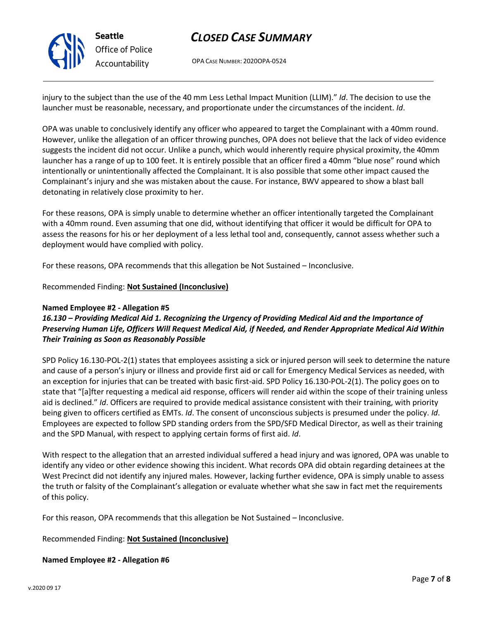

**Seattle** *Office of Police Accountability*

# *CLOSED CASE SUMMARY*

OPA CASE NUMBER: 2020OPA-0524

injury to the subject than the use of the 40 mm Less Lethal Impact Munition (LLIM)." *Id*. The decision to use the launcher must be reasonable, necessary, and proportionate under the circumstances of the incident. *Id*.

OPA was unable to conclusively identify any officer who appeared to target the Complainant with a 40mm round. However, unlike the allegation of an officer throwing punches, OPA does not believe that the lack of video evidence suggests the incident did not occur. Unlike a punch, which would inherently require physical proximity, the 40mm launcher has a range of up to 100 feet. It is entirely possible that an officer fired a 40mm "blue nose" round which intentionally or unintentionally affected the Complainant. It is also possible that some other impact caused the Complainant's injury and she was mistaken about the cause. For instance, BWV appeared to show a blast ball detonating in relatively close proximity to her.

For these reasons, OPA is simply unable to determine whether an officer intentionally targeted the Complainant with a 40mm round. Even assuming that one did, without identifying that officer it would be difficult for OPA to assess the reasons for his or her deployment of a less lethal tool and, consequently, cannot assess whether such a deployment would have complied with policy.

For these reasons, OPA recommends that this allegation be Not Sustained – Inconclusive.

### Recommended Finding: **Not Sustained (Inconclusive)**

### **Named Employee #2 - Allegation #5**

## *16.130 – Providing Medical Aid 1. Recognizing the Urgency of Providing Medical Aid and the Importance of Preserving Human Life, Officers Will Request Medical Aid, if Needed, and Render Appropriate Medical Aid Within Their Training as Soon as Reasonably Possible*

SPD Policy 16.130-POL-2(1) states that employees assisting a sick or injured person will seek to determine the nature and cause of a person's injury or illness and provide first aid or call for Emergency Medical Services as needed, with an exception for injuries that can be treated with basic first-aid. SPD Policy 16.130-POL-2(1). The policy goes on to state that "[a]fter requesting a medical aid response, officers will render aid within the scope of their training unless aid is declined." *Id*. Officers are required to provide medical assistance consistent with their training, with priority being given to officers certified as EMTs. *Id*. The consent of unconscious subjects is presumed under the policy. *Id*. Employees are expected to follow SPD standing orders from the SPD/SFD Medical Director, as well as their training and the SPD Manual, with respect to applying certain forms of first aid. *Id*.

With respect to the allegation that an arrested individual suffered a head injury and was ignored, OPA was unable to identify any video or other evidence showing this incident. What records OPA did obtain regarding detainees at the West Precinct did not identify any injured males. However, lacking further evidence, OPA is simply unable to assess the truth or falsity of the Complainant's allegation or evaluate whether what she saw in fact met the requirements of this policy.

For this reason, OPA recommends that this allegation be Not Sustained – Inconclusive.

Recommended Finding: **Not Sustained (Inconclusive)**

**Named Employee #2 - Allegation #6**